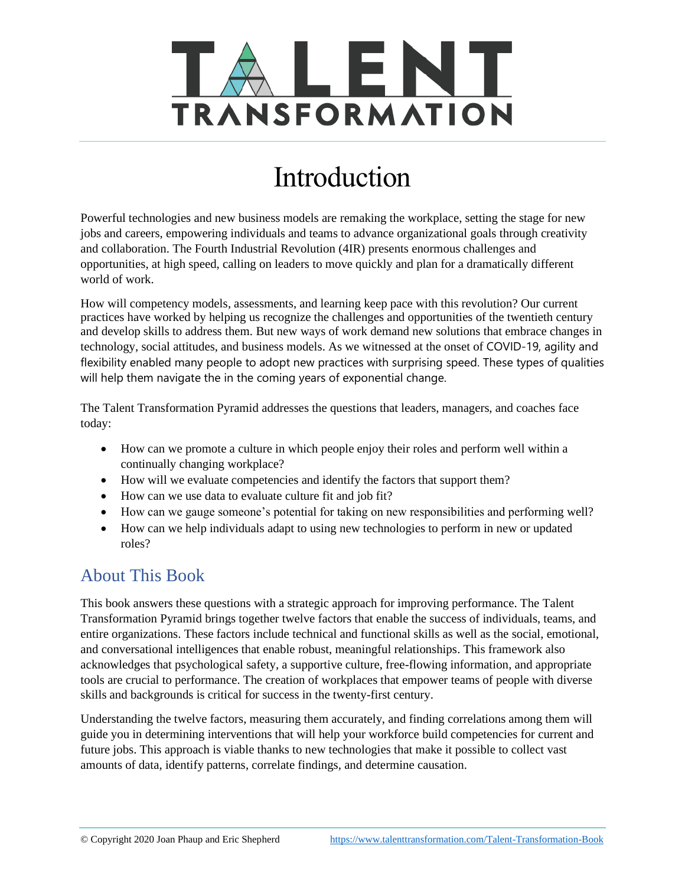

# Introduction

Powerful technologies and new business models are remaking the workplace, setting the stage for new jobs and careers, empowering individuals and teams to advance organizational goals through creativity and collaboration. The Fourth Industrial Revolution (4IR) presents enormous challenges and opportunities, at high speed, calling on leaders to move quickly and plan for a dramatically different world of work.

How will competency models, assessments, and learning keep pace with this revolution? Our current practices have worked by helping us recognize the challenges and opportunities of the twentieth century and develop skills to address them. But new ways of work demand new solutions that embrace changes in technology, social attitudes, and business models. As we witnessed at the onset of COVID-19, agility and flexibility enabled many people to adopt new practices with surprising speed. These types of qualities will help them navigate the in the coming years of exponential change.

The Talent Transformation Pyramid addresses the questions that leaders, managers, and coaches face today:

- How can we promote a culture in which people enjoy their roles and perform well within a continually changing workplace?
- How will we evaluate competencies and identify the factors that support them?
- How can we use data to evaluate culture fit and job fit?
- How can we gauge someone's potential for taking on new responsibilities and performing well?
- How can we help individuals adapt to using new technologies to perform in new or updated roles?

## About This Book

This book answers these questions with a strategic approach for improving performance. The Talent Transformation Pyramid brings together twelve factors that enable the success of individuals, teams, and entire organizations. These factors include technical and functional skills as well as the social, emotional, and conversational intelligences that enable robust, meaningful relationships. This framework also acknowledges that psychological safety, a supportive culture, free-flowing information, and appropriate tools are crucial to performance. The creation of workplaces that empower teams of people with diverse skills and backgrounds is critical for success in the twenty-first century.

Understanding the twelve factors, measuring them accurately, and finding correlations among them will guide you in determining interventions that will help your workforce build competencies for current and future jobs. This approach is viable thanks to new technologies that make it possible to collect vast amounts of data, identify patterns, correlate findings, and determine causation.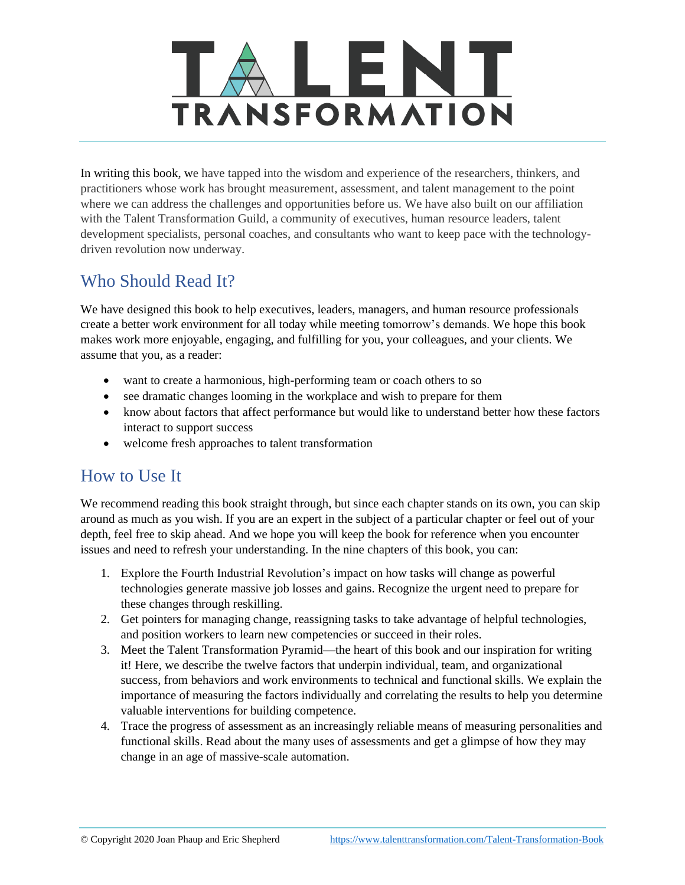

In writing this book, we have tapped into the wisdom and experience of the researchers, thinkers, and practitioners whose work has brought measurement, assessment, and talent management to the point where we can address the challenges and opportunities before us. We have also built on our affiliation with the Talent Transformation Guild, a community of executives, human resource leaders, talent development specialists, personal coaches, and consultants who want to keep pace with the technologydriven revolution now underway.

### Who Should Read It?

We have designed this book to help executives, leaders, managers, and human resource professionals create a better work environment for all today while meeting tomorrow's demands. We hope this book makes work more enjoyable, engaging, and fulfilling for you, your colleagues, and your clients. We assume that you, as a reader:

- want to create a harmonious, high-performing team or coach others to so
- see dramatic changes looming in the workplace and wish to prepare for them
- know about factors that affect performance but would like to understand better how these factors interact to support success
- welcome fresh approaches to talent transformation

#### How to Use It

We recommend reading this book straight through, but since each chapter stands on its own, you can skip around as much as you wish. If you are an expert in the subject of a particular chapter or feel out of your depth, feel free to skip ahead. And we hope you will keep the book for reference when you encounter issues and need to refresh your understanding. In the nine chapters of this book, you can:

- 1. Explore the Fourth Industrial Revolution's impact on how tasks will change as powerful technologies generate massive job losses and gains. Recognize the urgent need to prepare for these changes through reskilling.
- 2. Get pointers for managing change, reassigning tasks to take advantage of helpful technologies, and position workers to learn new competencies or succeed in their roles.
- 3. Meet the Talent Transformation Pyramid—the heart of this book and our inspiration for writing it! Here, we describe the twelve factors that underpin individual, team, and organizational success, from behaviors and work environments to technical and functional skills. We explain the importance of measuring the factors individually and correlating the results to help you determine valuable interventions for building competence.
- 4. Trace the progress of assessment as an increasingly reliable means of measuring personalities and functional skills. Read about the many uses of assessments and get a glimpse of how they may change in an age of massive-scale automation.